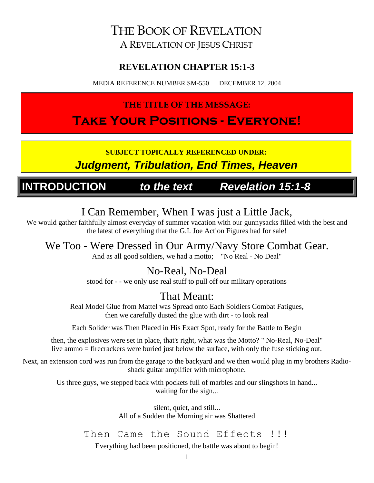### THE BOOK OF REVELATION A REVELATION OF JESUS CHRIST

#### **REVELATION CHAPTER 15:1-3**

MEDIA REFERENCE NUMBER SM-550 DECEMBER 12, 2004

### **THE TITLE OF THE MESSAGE:**

## **Take Your Positions - Everyone!**

**SUBJECT TOPICALLY REFERENCED UNDER:**

*Judgment, Tribulation, End Times, Heaven*

### **INTRODUCTION** *to the text Revelation 15:1-8*

### I Can Remember, When I was just a Little Jack,

We would gather faithfully almost everyday of summer vacation with our gunnysacks filled with the best and the latest of everything that the G.I. Joe Action Figures had for sale!

### We Too - Were Dressed in Our Army/Navy Store Combat Gear.

And as all good soldiers, we had a motto; "No Real - No Deal"

### No-Real, No-Deal

stood for - - we only use real stuff to pull off our military operations

### That Meant:

Real Model Glue from Mattel was Spread onto Each Soldiers Combat Fatigues, then we carefully dusted the glue with dirt - to look real

Each Solider was Then Placed in His Exact Spot, ready for the Battle to Begin

then, the explosives were set in place, that's right, what was the Motto? " No-Real, No-Deal" live ammo = firecrackers were buried just below the surface, with only the fuse sticking out.

Next, an extension cord was run from the garage to the backyard and we then would plug in my brothers Radioshack guitar amplifier with microphone.

> Us three guys, we stepped back with pockets full of marbles and our slingshots in hand... waiting for the sign...

> > silent, quiet, and still... All of a Sudden the Morning air was Shattered

Then Came the Sound Effects !!!

Everything had been positioned, the battle was about to begin!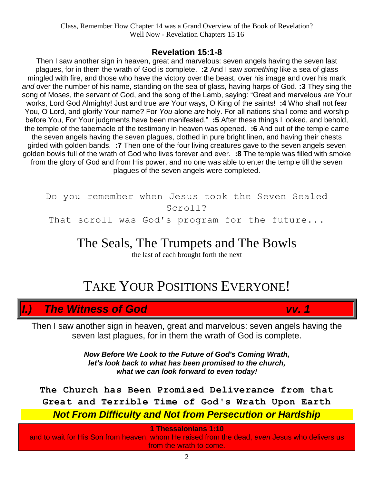#### **Revelation 15:1-8**

Then I saw another sign in heaven, great and marvelous: seven angels having the seven last plagues, for in them the wrath of God is complete. **:2** And I saw *something* like a sea of glass mingled with fire, and those who have the victory over the beast, over his image and over his mark *and* over the number of his name, standing on the sea of glass, having harps of God. **:3** They sing the song of Moses, the servant of God, and the song of the Lamb, saying: "Great and marvelous *are* Your works, Lord God Almighty! Just and true *are* Your ways, O King of the saints! **:4** Who shall not fear You, O Lord, and glorify Your name? For *You* alone *are* holy. For all nations shall come and worship before You, For Your judgments have been manifested." **:5** After these things I looked, and behold, the temple of the tabernacle of the testimony in heaven was opened. **:6** And out of the temple came the seven angels having the seven plagues, clothed in pure bright linen, and having their chests girded with golden bands. **:7** Then one of the four living creatures gave to the seven angels seven golden bowls full of the wrath of God who lives forever and ever. **:8** The temple was filled with smoke from the glory of God and from His power, and no one was able to enter the temple till the seven plagues of the seven angels were completed.

Do you remember when Jesus took the Seven Sealed Scroll? That scroll was God's program for the future...

The Seals, The Trumpets and The Bowls

the last of each brought forth the next

## TAKE YOUR POSITIONS EVERYONE!

### *I.) The Witness of God vv. 1*

Then I saw another sign in heaven, great and marvelous: seven angels having the seven last plagues, for in them the wrath of God is complete.

> *Now Before We Look to the Future of God's Coming Wrath, let's look back to what has been promised to the church, what we can look forward to even today!*

**The Church has Been Promised Deliverance from that Great and Terrible Time of God's Wrath Upon Earth** *Not From Difficulty and Not from Persecution or Hardship*

**1 Thessalonians 1:10**

and to wait for His Son from heaven, whom He raised from the dead, *even* Jesus who delivers us from the wrath to come.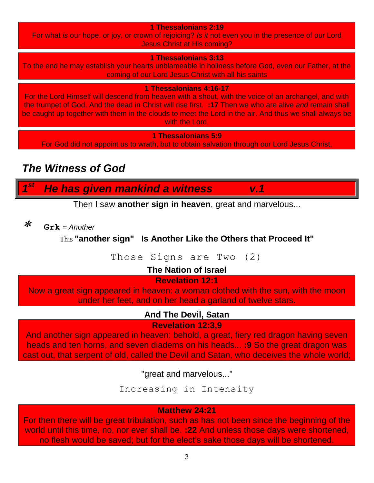**1 Thessalonians 2:19**

For what *is* our hope, or joy, or crown of rejoicing? *Is it* not even you in the presence of our Lord Jesus Christ at His coming?

**1 Thessalonians 3:13**

To the end he may establish your hearts unblameable in holiness before God, even our Father, at the coming of our Lord Jesus Christ with all his saints

**1 Thessalonians 4:16-17**

For the Lord Himself will descend from heaven with a shout, with the voice of an archangel, and with the trumpet of God. And the dead in Christ will rise first. **:17** Then we who are alive *and* remain shall be caught up together with them in the clouds to meet the Lord in the air. And thus we shall always be with the Lord.

**1 Thessalonians 5:9**

For God did not appoint us to wrath, but to obtain salvation through our Lord Jesus Christ,

### *The Witness of God*

*1 st He has given mankind a witness v.1*

Then I saw **another sign in heaven**, great and marvelous...

 $\boldsymbol{\varkappa}$ **Grk** *= Another*

This **"another sign" Is Another Like the Others that Proceed It"**

Those Signs are Two (2)

**The Nation of Israel**

#### **Revelation 12:1**

Now a great sign appeared in heaven: a woman clothed with the sun, with the moon under her feet, and on her head a garland of twelve stars.

#### **And The Devil, Satan**

**Revelation 12:3,9**

And another sign appeared in heaven: behold, a great, fiery red dragon having seven heads and ten horns, and seven diadems on his heads... **:9** So the great dragon was cast out, that serpent of old, called the Devil and Satan, who deceives the whole world;

"great and marvelous..."

Increasing in Intensity

#### **Matthew 24:21**

For then there will be great tribulation, such as has not been since the beginning of the world until this time, no, nor ever shall be. **:22** And unless those days were shortened, no flesh would be saved; but for the elect's sake those days will be shortened.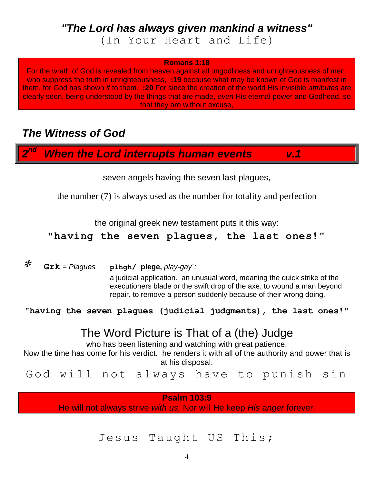### *"The Lord has always given mankind a witness"* (In Your Heart and Life)

#### **Romans 1:18**

For the wrath of God is revealed from heaven against all ungodliness and unrighteousness of men, who suppress the truth in unrighteousness, **:19** because what may be known of God is manifest in them, for God has shown *it* to them. **:20** For since the creation of the world His invisible *attributes* are clearly seen, being understood by the things that are made, *even* His eternal power and Godhead, so that they are without excuse,

### *The Witness of God*

*2 When the Lord interrupts human events* v.1

seven angels having the seven last plagues,

the number (7) is always used as the number for totality and perfection

the original greek new testament puts it this way:

#### **"having the seven plagues, the last ones!"**

 $\ast$ 

**Grk** *= Plagues* **plhgh/ plege,** *play-gay´;*

a judicial application. an unusual word, meaning the quick strike of the executioners blade or the swift drop of the axe. to wound a man beyond repair. to remove a person suddenly because of their wrong doing.

**"having the seven plagues (judicial judgments), the last ones!"**

### The Word Picture is That of a (the) Judge

who has been listening and watching with great patience. Now the time has come for his verdict. he renders it with all of the authority and power that is at his disposal.

God will not always have to punish sin

**Psalm 103:9**

He will not always strive *with us,* Nor will He keep *His anger* forever.

#### Jesus Taught US This;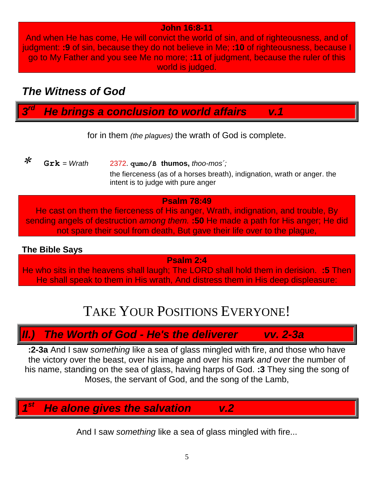#### **John 16:8-11**

And when He has come, He will convict the world of sin, and of righteousness, and of judgment: **:9** of sin, because they do not believe in Me; **:10** of righteousness, because I go to My Father and you see Me no more; **:11** of judgment, because the ruler of this world is judged.

### *The Witness of God*

*3 He brings a conclusion to world affairs* v.1

for in them *(the plagues)* the wrath of God is complete.

 $\ast$  **Grk** *= Wrath* 2372. **qumo/ß thumos,** *thoo-mos´;* the fierceness (as of a horses breath), indignation, wrath or anger. the intent is to judge with pure anger

#### **Psalm 78:49**

He cast on them the fierceness of His anger, Wrath, indignation, and trouble, By sending angels of destruction *among them.* **:50** He made a path for His anger; He did not spare their soul from death, But gave their life over to the plague,

#### **The Bible Says**

**Psalm 2:4**

He who sits in the heavens shall laugh; The LORD shall hold them in derision. **:5** Then He shall speak to them in His wrath, And distress them in His deep displeasure:

## TAKE YOUR POSITIONS EVERYONE!

### *II.) The Worth of God - He's the deliverer vv. 2-3a*

**:2-3a** And I saw *something* like a sea of glass mingled with fire, and those who have the victory over the beast, over his image and over his mark *and* over the number of his name, standing on the sea of glass, having harps of God. **:3** They sing the song of Moses, the servant of God, and the song of the Lamb,

*1 He alone gives the salvation v.2* 

And I saw *something* like a sea of glass mingled with fire...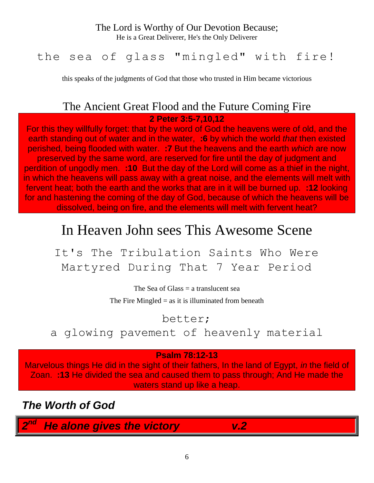#### The Lord is Worthy of Our Devotion Because;

He is a Great Deliverer, He's the Only Deliverer

### the sea of glass "mingled" with fire!

this speaks of the judgments of God that those who trusted in Him became victorious

### The Ancient Great Flood and the Future Coming Fire

**2 Peter 3:5-7,10,12**

For this they willfully forget: that by the word of God the heavens were of old, and the earth standing out of water and in the water, **:6** by which the world *that* then existed perished, being flooded with water. **:7** But the heavens and the earth *which* are now preserved by the same word, are reserved for fire until the day of judgment and perdition of ungodly men. **:10** But the day of the Lord will come as a thief in the night, in which the heavens will pass away with a great noise, and the elements will melt with fervent heat; both the earth and the works that are in it will be burned up. **:12** looking for and hastening the coming of the day of God, because of which the heavens will be dissolved, being on fire, and the elements will melt with fervent heat?

## In Heaven John sees This Awesome Scene

It's The Tribulation Saints Who Were Martyred During That 7 Year Period

The Sea of Glass  $=$  a translucent sea

The Fire Mingled  $=$  as it is illuminated from beneath

better;

a glowing pavement of heavenly material

#### **Psalm 78:12-13**

Marvelous things He did in the sight of their fathers, In the land of Egypt, *in* the field of Zoan. **:13** He divided the sea and caused them to pass through; And He made the waters stand up like a heap.

*The Worth of God*

*2 <i>He alone gives the victory* v.2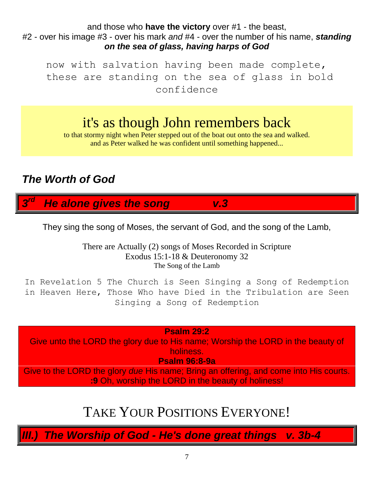and those who **have the victory** over #1 - the beast, #2 - over his image #3 - over his mark *and* #4 - over the number of his name, *standing on the sea of glass, having harps of God*

now with salvation having been made complete, these are standing on the sea of glass in bold confidence

## it's as though John remembers back

to that stormy night when Peter stepped out of the boat out onto the sea and walked. and as Peter walked he was confident until something happened...

### *The Worth of God*

*3 <i>He alone gives the song* v.3

They sing the song of Moses, the servant of God, and the song of the Lamb,

There are Actually (2) songs of Moses Recorded in Scripture Exodus 15:1-18 & Deuteronomy 32 The Song of the Lamb

In Revelation 5 The Church is Seen Singing a Song of Redemption in Heaven Here, Those Who have Died in the Tribulation are Seen Singing a Song of Redemption

#### **Psalm 29:2**

Give unto the LORD the glory due to His name; Worship the LORD in the beauty of holiness.

**Psalm 96:8-9a**

Give to the LORD the glory *due* His name; Bring an offering, and come into His courts. **:9** Oh, worship the LORD in the beauty of holiness!

## TAKE YOUR POSITIONS EVERYONE!

*III.) The Worship of God - He's done great things v. 3b-4*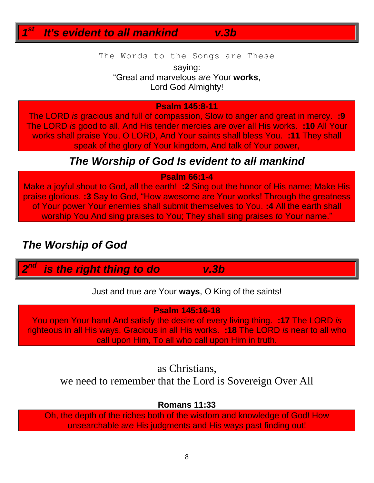*1 <i>It's evident to all mankind* v.3b

The Words to the Songs are These

saying: "Great and marvelous *are* Your **works**, Lord God Almighty!

#### **Psalm 145:8-11**

The LORD *is* gracious and full of compassion, Slow to anger and great in mercy. **:9** The LORD *is* good to all, And His tender mercies *are* over all His works. **:10** All Your works shall praise You, O LORD, And Your saints shall bless You. **:11** They shall speak of the glory of Your kingdom, And talk of Your power,

### *The Worship of God Is evident to all mankind*

#### **Psalm 66:1-4**

Make a joyful shout to God, all the earth! **:2** Sing out the honor of His name; Make His praise glorious. **:3** Say to God, "How awesome are Your works! Through the greatness of Your power Your enemies shall submit themselves to You. **:4** All the earth shall worship You And sing praises to You; They shall sing praises *to* Your name."

### *The Worship of God*

*2 is the right thing to do* v.3b

Just and true *are* Your **ways**, O King of the saints!

#### **Psalm 145:16-18**

You open Your hand And satisfy the desire of every living thing. **:17** The LORD *is* righteous in all His ways, Gracious in all His works. **:18** The LORD *is* near to all who call upon Him, To all who call upon Him in truth.

#### as Christians,

we need to remember that the Lord is Sovereign Over All

#### **Romans 11:33**

Oh, the depth of the riches both of the wisdom and knowledge of God! How unsearchable *are* His judgments and His ways past finding out!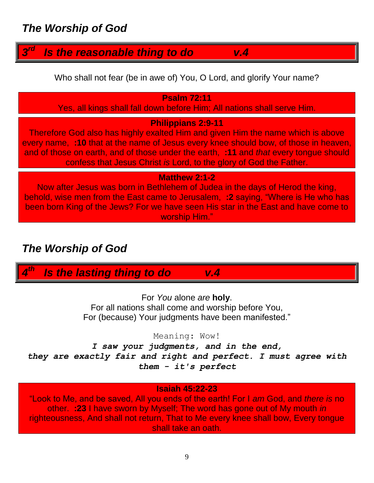#### *3 <i><u>Is the reasonable thing to do v.4</u>*

Who shall not fear (be in awe of) You, O Lord, and glorify Your name?

#### **Psalm 72:11**

Yes, all kings shall fall down before Him; All nations shall serve Him.

#### **Philippians 2:9-11**

Therefore God also has highly exalted Him and given Him the name which is above every name, **:10** that at the name of Jesus every knee should bow, of those in heaven, and of those on earth, and of those under the earth, **:11** and *that* every tongue should confess that Jesus Christ *is* Lord, to the glory of God the Father.

#### **Matthew 2:1-2**

Now after Jesus was born in Bethlehem of Judea in the days of Herod the king, behold, wise men from the East came to Jerusalem, **:2** saying, "Where is He who has been born King of the Jews? For we have seen His star in the East and have come to worship Him."

### *The Worship of God*

*4 Is the lasting thing to do* v.4

For *You* alone *are* **holy**. For all nations shall come and worship before You, For (because) Your judgments have been manifested."

Meaning: Wow!

*I saw your judgments, and in the end, they are exactly fair and right and perfect. I must agree with them - it's perfect*

#### **Isaiah 45:22-23**

"Look to Me, and be saved, All you ends of the earth! For I *am* God, and *there is* no other. **:23** I have sworn by Myself; The word has gone out of My mouth *in* righteousness, And shall not return, That to Me every knee shall bow, Every tongue shall take an oath.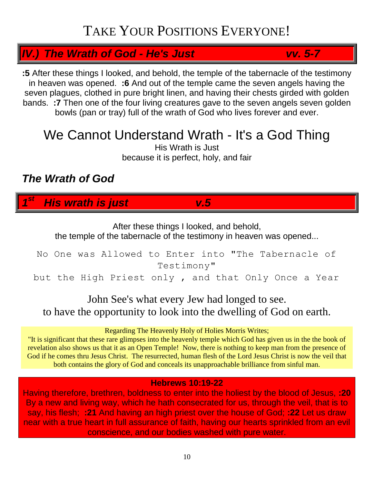## TAKE YOUR POSITIONS EVERYONE!

### *IV.) The Wrath of God - He's Just vv. 5-7*

**:5** After these things I looked, and behold, the temple of the tabernacle of the testimony in heaven was opened. **:6** And out of the temple came the seven angels having the seven plagues, clothed in pure bright linen, and having their chests girded with golden bands. **:7** Then one of the four living creatures gave to the seven angels seven golden bowls (pan or tray) full of the wrath of God who lives forever and ever.

## We Cannot Understand Wrath - It's a God Thing

His Wrath is Just because it is perfect, holy, and fair

### *The Wrath of God*

*1 st His wrath is just v.5*

After these things I looked, and behold,

the temple of the tabernacle of the testimony in heaven was opened...

### No One was Allowed to Enter into "The Tabernacle of Testimony"

but the High Priest only , and that Only Once a Year

### John See's what every Jew had longed to see. to have the opportunity to look into the dwelling of God on earth.

#### Regarding The Heavenly Holy of Holies Morris Writes;

"It is significant that these rare glimpses into the heavenly temple which God has given us in the the book of revelation also shows us that it as an Open Temple! Now, there is nothing to keep man from the presence of God if he comes thru Jesus Christ. The resurrected, human flesh of the Lord Jesus Christ is now the veil that both contains the glory of God and conceals its unapproachable brilliance from sinful man.

#### **Hebrews 10:19-22**

Having therefore, brethren, boldness to enter into the holiest by the blood of Jesus, **:20** By a new and living way, which he hath consecrated for us, through the veil, that is to say, his flesh; **:21** And having an high priest over the house of God; **:22** Let us draw near with a true heart in full assurance of faith, having our hearts sprinkled from an evil conscience, and our bodies washed with pure water.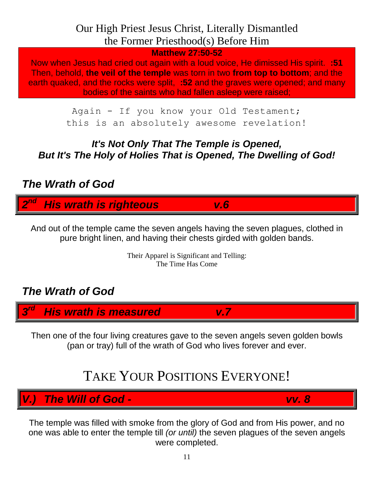### Our High Priest Jesus Christ, Literally Dismantled the Former Priesthood(s) Before Him

**Matthew 27:50-52**

Now when Jesus had cried out again with a loud voice, He dimissed His spirit. **:51** Then, behold, **the veil of the temple** was torn in two **from top to bottom**; and the earth quaked, and the rocks were split, **:52** and the graves were opened; and many bodies of the saints who had fallen asleep were raised;

> Again - If you know your Old Testament; this is an absolutely awesome revelation!

### *It's Not Only That The Temple is Opened, But It's The Holy of Holies That is Opened, The Dwelling of God!*

### *The Wrath of God*

*2 nd His wrath is righteous v.6*

And out of the temple came the seven angels having the seven plagues, clothed in pure bright linen, and having their chests girded with golden bands.

> Their Apparel is Significant and Telling: The Time Has Come

### *The Wrath of God*

*3 rd His wrath is measured v.7*

Then one of the four living creatures gave to the seven angels seven golden bowls (pan or tray) full of the wrath of God who lives forever and ever.

## TAKE YOUR POSITIONS EVERYONE!

*V.) The Will of God - vv. 8*

The temple was filled with smoke from the glory of God and from His power, and no one was able to enter the temple till *(or until)* the seven plagues of the seven angels were completed.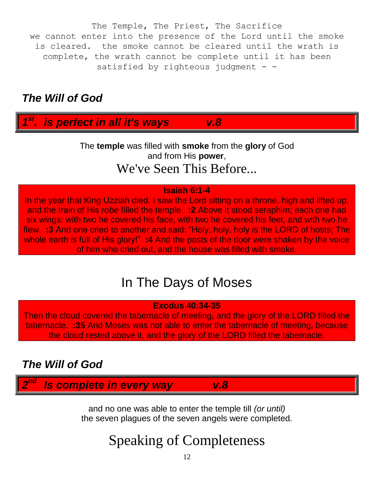The Temple, The Priest, The Sacrifice we cannot enter into the presence of the Lord until the smoke is cleared. the smoke cannot be cleared until the wrath is complete, the wrath cannot be complete until it has been satisfied by righteous judgment - -

### *The Will of God*

*1 st . is perfect in all it's ways v.8*

> The **temple** was filled with **smoke** from the **glory** of God and from His **power**, We've Seen This Before...

#### **Isaiah 6:1-4**

In the year that King Uzziah died, I saw the Lord sitting on a throne, high and lifted up, and the train of His *robe* filled the temple. **:2** Above it stood seraphim; each one had six wings: with two he covered his face, with two he covered his feet, and with two he flew. **:3** And one cried to another and said: "Holy, holy, holy *is* the LORD of hosts; The whole earth *is* full of His glory!" **:4** And the posts of the door were shaken by the voice of him who cried out, and the house was filled with smoke.

## In The Days of Moses

**Exodus 40:34-35**

Then the cloud covered the tabernacle of meeting, and the glory of the LORD filled the tabernacle. **:35** And Moses was not able to enter the tabernacle of meeting, because the cloud rested above it, and the glory of the LORD filled the tabernacle.

### *The Will of God*

*2 Is complete in every way* v.8

and no one was able to enter the temple till *(or until)* the seven plagues of the seven angels were completed.

# Speaking of Completeness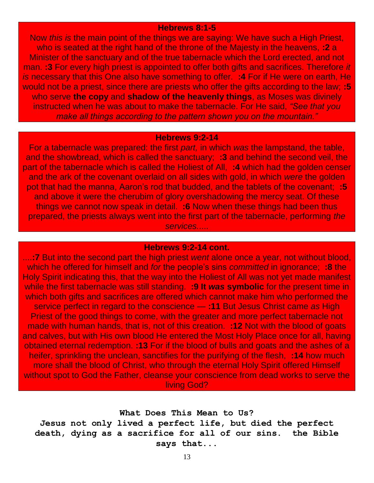#### **Hebrews 8:1-5**

Now *this is* the main point of the things we are saying: We have such a High Priest, who is seated at the right hand of the throne of the Majesty in the heavens, **:2** a Minister of the sanctuary and of the true tabernacle which the Lord erected, and not man. **:3** For every high priest is appointed to offer both gifts and sacrifices. Therefore *it is* necessary that this One also have something to offer. **:4** For if He were on earth, He would not be a priest, since there are priests who offer the gifts according to the law; **:5** who serve **the copy** and **shadow of the heavenly things**, as Moses was divinely instructed when he was about to make the tabernacle. For He said, *"See that you make all things according to the pattern shown you on the mountain."*

#### **Hebrews 9:2-14**

For a tabernacle was prepared: the first *part,* in which *was* the lampstand, the table, and the showbread, which is called the sanctuary; **:3** and behind the second veil, the part of the tabernacle which is called the Holiest of All, **:4** which had the golden censer and the ark of the covenant overlaid on all sides with gold, in which *were* the golden pot that had the manna, Aaron's rod that budded, and the tablets of the covenant; **:5** and above it were the cherubim of glory overshadowing the mercy seat. Of these things we cannot now speak in detail. **:6** Now when these things had been thus prepared, the priests always went into the first part of the tabernacle, performing *the services.*....

#### **Hebrews 9:2-14 cont.**

....**:7** But into the second part the high priest *went* alone once a year, not without blood, which he offered for himself and *for* the people's sins *committed* in ignorance; **:8** the Holy Spirit indicating this, that the way into the Holiest of All was not yet made manifest while the first tabernacle was still standing. **:9 It** *was* **symbolic** for the present time in which both gifts and sacrifices are offered which cannot make him who performed the service perfect in regard to the conscience — **:11** But Jesus Christ came *as* High Priest of the good things to come, with the greater and more perfect tabernacle not made with human hands, that is, not of this creation. **:12** Not with the blood of goats and calves, but with His own blood He entered the Most Holy Place once for all, having obtained eternal redemption. **:13** For if the blood of bulls and goats and the ashes of a heifer, sprinkling the unclean, sanctifies for the purifying of the flesh, **:14** how much more shall the blood of Christ, who through the eternal Holy Spirit offered Himself without spot to God the Father, cleanse your conscience from dead works to serve the living God?

#### **What Does This Mean to Us?**

**Jesus not only lived a perfect life, but died the perfect death, dying as a sacrifice for all of our sins. the Bible says that...**